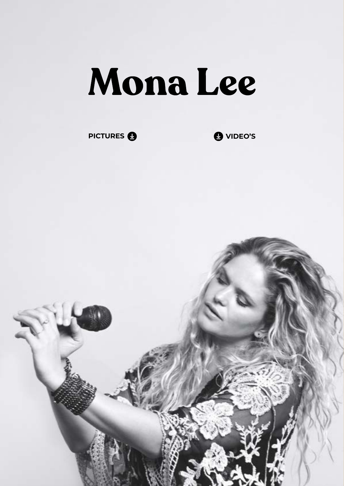## Mona Lee